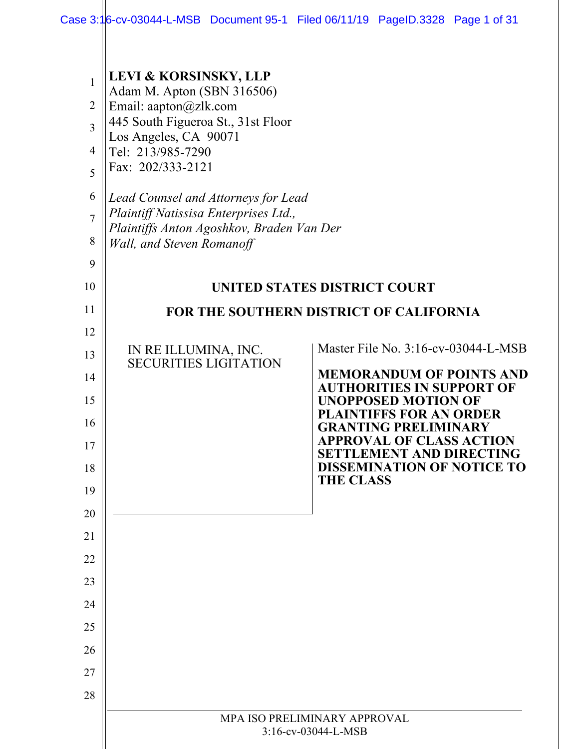| $\mathbf{1}$<br>$\overline{2}$<br>$\overline{3}$<br>$\overline{4}$<br>5<br>6<br>$\overline{7}$<br>8<br>9<br>10 | <b>LEVI &amp; KORSINSKY, LLP</b><br>Adam M. Apton (SBN 316506)<br>Email: aapton@zlk.com<br>445 South Figueroa St., 31st Floor<br>Los Angeles, CA 90071<br>Tel: 213/985-7290<br>Fax: 202/333-2121<br>Lead Counsel and Attorneys for Lead<br>Plaintiff Natissisa Enterprises Ltd.,<br>Plaintiffs Anton Agoshkov, Braden Van Der<br>Wall, and Steven Romanoff | <b>UNITED STATES DISTRICT COURT</b>                                                         |  |
|----------------------------------------------------------------------------------------------------------------|------------------------------------------------------------------------------------------------------------------------------------------------------------------------------------------------------------------------------------------------------------------------------------------------------------------------------------------------------------|---------------------------------------------------------------------------------------------|--|
| 11                                                                                                             | FOR THE SOUTHERN DISTRICT OF CALIFORNIA                                                                                                                                                                                                                                                                                                                    |                                                                                             |  |
| 12                                                                                                             |                                                                                                                                                                                                                                                                                                                                                            |                                                                                             |  |
| 13                                                                                                             | IN RE ILLUMINA, INC.<br><b>SECURITIES LIGITATION</b>                                                                                                                                                                                                                                                                                                       | Master File No. 3:16-cv-03044-L-MSB                                                         |  |
| 14                                                                                                             |                                                                                                                                                                                                                                                                                                                                                            | <b>MEMORANDUM OF POINTS AND</b><br><b>AUTHORITIES IN SUPPORT OF</b>                         |  |
| 15<br>16                                                                                                       |                                                                                                                                                                                                                                                                                                                                                            | <b>UNOPPOSED MOTION OF</b><br><b>PLAINTIFFS FOR AN ORDER</b><br><b>GRANTING PRELIMINARY</b> |  |
| 17                                                                                                             |                                                                                                                                                                                                                                                                                                                                                            | <b>APPROVAL OF CLASS ACTION</b><br><b>SETTLEMENT AND DIRECTING</b>                          |  |
| 18                                                                                                             |                                                                                                                                                                                                                                                                                                                                                            | <b>DISSEMINATION OF NOTICE TO</b><br><b>THE CLASS</b>                                       |  |
| 19                                                                                                             |                                                                                                                                                                                                                                                                                                                                                            |                                                                                             |  |
| 20                                                                                                             |                                                                                                                                                                                                                                                                                                                                                            |                                                                                             |  |
| 21                                                                                                             |                                                                                                                                                                                                                                                                                                                                                            |                                                                                             |  |
| 22                                                                                                             |                                                                                                                                                                                                                                                                                                                                                            |                                                                                             |  |
| 23                                                                                                             |                                                                                                                                                                                                                                                                                                                                                            |                                                                                             |  |
| 24                                                                                                             |                                                                                                                                                                                                                                                                                                                                                            |                                                                                             |  |
| 25                                                                                                             |                                                                                                                                                                                                                                                                                                                                                            |                                                                                             |  |
| 26                                                                                                             |                                                                                                                                                                                                                                                                                                                                                            |                                                                                             |  |
| 27                                                                                                             |                                                                                                                                                                                                                                                                                                                                                            |                                                                                             |  |
| 28                                                                                                             |                                                                                                                                                                                                                                                                                                                                                            |                                                                                             |  |
|                                                                                                                |                                                                                                                                                                                                                                                                                                                                                            | MPA ISO PRELIMINARY APPROVAL<br>3:16-cv-03044-L-MSB                                         |  |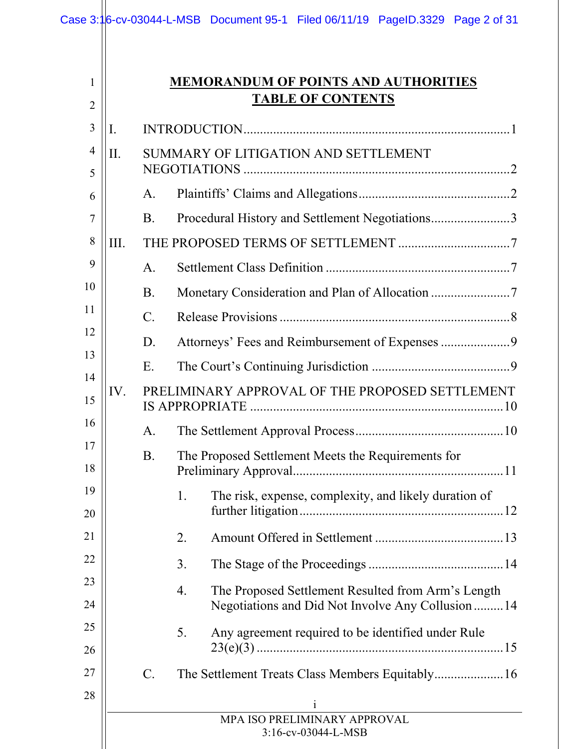|                     |      |                 |    | Case 3:16-cv-03044-L-MSB Document 95-1 Filed 06/11/19 PageID.3329 Page 2 of 31 |                                                                                                          |  |
|---------------------|------|-----------------|----|--------------------------------------------------------------------------------|----------------------------------------------------------------------------------------------------------|--|
| 1<br>$\overline{2}$ |      |                 |    | <b>MEMORANDUM OF POINTS AND AUTHORITIES</b>                                    | <b>TABLE OF CONTENTS</b>                                                                                 |  |
| 3                   | I.   |                 |    |                                                                                |                                                                                                          |  |
| $\overline{4}$<br>5 | II.  |                 |    | SUMMARY OF LITIGATION AND SETTLEMENT                                           |                                                                                                          |  |
| 6                   |      | A.              |    |                                                                                |                                                                                                          |  |
| 7                   |      | <b>B.</b>       |    | Procedural History and Settlement Negotiations3                                |                                                                                                          |  |
| 8                   | III. |                 |    |                                                                                |                                                                                                          |  |
| 9                   |      | A.              |    |                                                                                |                                                                                                          |  |
| 10                  |      | <b>B.</b>       |    |                                                                                |                                                                                                          |  |
| 11                  |      | $\mathcal{C}$ . |    |                                                                                |                                                                                                          |  |
| 12                  |      | D.              |    |                                                                                |                                                                                                          |  |
| 13                  |      | Ε.              |    |                                                                                |                                                                                                          |  |
| 14<br>15            | IV.  |                 |    | PRELIMINARY APPROVAL OF THE PROPOSED SETTLEMENT                                |                                                                                                          |  |
| 16                  |      | А.              |    |                                                                                |                                                                                                          |  |
| 17<br>18            |      | B.              |    | The Proposed Settlement Meets the Requirements for                             |                                                                                                          |  |
| 19<br>20            |      |                 | 1. |                                                                                | The risk, expense, complexity, and likely duration of                                                    |  |
| 21                  |      |                 | 2. |                                                                                |                                                                                                          |  |
| 22                  |      |                 | 3. |                                                                                |                                                                                                          |  |
| 23<br>24            |      |                 | 4. |                                                                                | The Proposed Settlement Resulted from Arm's Length<br>Negotiations and Did Not Involve Any Collusion  14 |  |
| 25<br>26            |      |                 | 5. |                                                                                | Any agreement required to be identified under Rule                                                       |  |
| 27<br>28            |      | $C$ .           |    |                                                                                |                                                                                                          |  |
|                     |      |                 |    |                                                                                | 1<br>MPA ISO PRELIMINARY APPROVAL<br>3:16-cv-03044-L-MSB                                                 |  |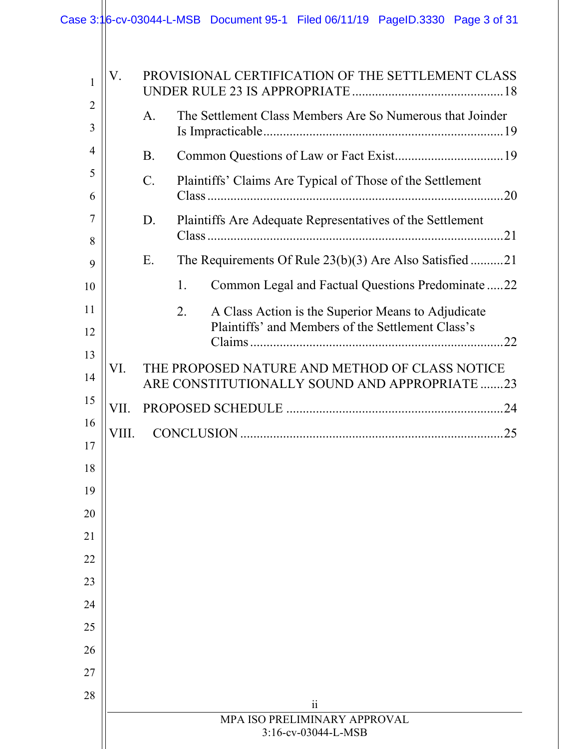| $\mathbf{1}$        | V.    |             | PROVISIONAL CERTIFICATION OF THE SETTLEMENT CLASS                                               |
|---------------------|-------|-------------|-------------------------------------------------------------------------------------------------|
| $\overline{2}$<br>3 |       | A.          | The Settlement Class Members Are So Numerous that Joinder                                       |
| 4                   |       | <b>B.</b>   |                                                                                                 |
| 5<br>6              |       | $C_{\cdot}$ | Plaintiffs' Claims Are Typical of Those of the Settlement                                       |
| 7                   |       | D.          | Plaintiffs Are Adequate Representatives of the Settlement                                       |
| 8<br>9              |       | Ε.          | The Requirements Of Rule 23(b)(3) Are Also Satisfied 21                                         |
| 10                  |       |             | Common Legal and Factual Questions Predominate 22<br>1.                                         |
| 11                  |       |             | 2.<br>A Class Action is the Superior Means to Adjudicate                                        |
| 12                  |       |             | Plaintiffs' and Members of the Settlement Class's                                               |
| 13<br>14            | VI.   |             | THE PROPOSED NATURE AND METHOD OF CLASS NOTICE<br>ARE CONSTITUTIONALLY SOUND AND APPROPRIATE 23 |
| 15                  | VII.  |             |                                                                                                 |
| 16                  | VIII. |             |                                                                                                 |
| 17                  |       |             |                                                                                                 |
| 18                  |       |             |                                                                                                 |
| 19                  |       |             |                                                                                                 |
| 20                  |       |             |                                                                                                 |
| 21                  |       |             |                                                                                                 |
| 22                  |       |             |                                                                                                 |
| 23                  |       |             |                                                                                                 |
| 24                  |       |             |                                                                                                 |
| 25                  |       |             |                                                                                                 |
| 26                  |       |             |                                                                                                 |
| 27                  |       |             |                                                                                                 |
| 28                  |       |             | $\ddot{i}$                                                                                      |
|                     |       |             | MPA ISO PRELIMINARY APPROVAL                                                                    |
|                     |       |             | 3:16-cv-03044-L-MSB                                                                             |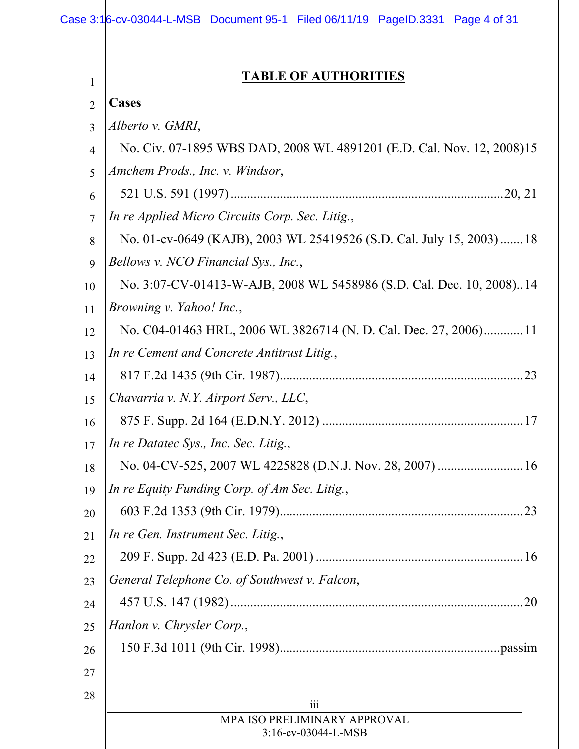| 1              | <b>TABLE OF AUTHORITIES</b>                                           |
|----------------|-----------------------------------------------------------------------|
| $\overline{2}$ | <b>Cases</b>                                                          |
| 3              | Alberto v. GMRI,                                                      |
| 4              | No. Civ. 07-1895 WBS DAD, 2008 WL 4891201 (E.D. Cal. Nov. 12, 2008)15 |
| 5              | Amchem Prods., Inc. v. Windsor,                                       |
| 6              |                                                                       |
| 7              | In re Applied Micro Circuits Corp. Sec. Litig.,                       |
| 8              | No. 01-cv-0649 (KAJB), 2003 WL 25419526 (S.D. Cal. July 15, 2003) 18  |
| 9              | Bellows v. NCO Financial Sys., Inc.,                                  |
| 10             | No. 3:07-CV-01413-W-AJB, 2008 WL 5458986 (S.D. Cal. Dec. 10, 2008)14  |
| 11             | Browning v. Yahoo! Inc.,                                              |
| 12             | No. C04-01463 HRL, 2006 WL 3826714 (N. D. Cal. Dec. 27, 2006)11       |
| 13             | In re Cement and Concrete Antitrust Litig.,                           |
| 14             |                                                                       |
| 15             | Chavarria v. N.Y. Airport Serv., LLC,                                 |
| 16             |                                                                       |
| 17             | In re Datatec Sys., Inc. Sec. Litig.,                                 |
| 18             |                                                                       |
| 19             | In re Equity Funding Corp. of Am Sec. Litig.,                         |
| 20             |                                                                       |
| 21             | In re Gen. Instrument Sec. Litig.,                                    |
| 22             |                                                                       |
| 23             | General Telephone Co. of Southwest v. Falcon,                         |
| 24             |                                                                       |
| 25             | Hanlon v. Chrysler Corp.,                                             |
| 26             |                                                                       |
| 27             |                                                                       |
| 28             | iii                                                                   |
|                | MPA ISO PRELIMINARY APPROVAL                                          |
|                | 3:16-cv-03044-L-MSB                                                   |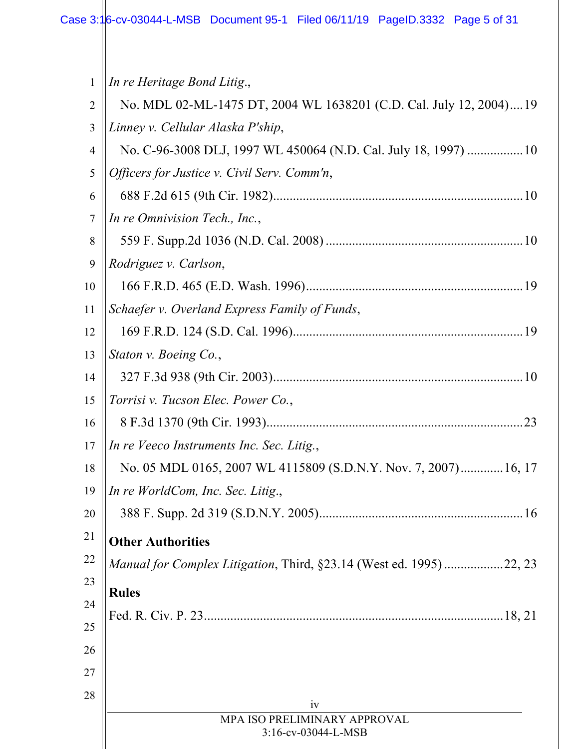$\mathbf{\mathbf{\mathsf{H}}}$ 

| 1              | In re Heritage Bond Litig.,                                               |
|----------------|---------------------------------------------------------------------------|
| $\overline{2}$ | No. MDL 02-ML-1475 DT, 2004 WL 1638201 (C.D. Cal. July 12, 2004) 19       |
| 3              | Linney v. Cellular Alaska P'ship,                                         |
| 4              | No. C-96-3008 DLJ, 1997 WL 450064 (N.D. Cal. July 18, 1997)  10           |
| 5              | Officers for Justice v. Civil Serv. Comm'n,                               |
| 6              |                                                                           |
| $\overline{7}$ | In re Omnivision Tech., Inc.,                                             |
| 8              |                                                                           |
| 9              | Rodriguez v. Carlson,                                                     |
| 10             |                                                                           |
| 11             | Schaefer v. Overland Express Family of Funds,                             |
| 12             |                                                                           |
| 13             | Staton v. Boeing Co.,                                                     |
| 14             |                                                                           |
| 15             | Torrisi v. Tucson Elec. Power Co.,                                        |
| 16             |                                                                           |
| 17             | In re Veeco Instruments Inc. Sec. Litig.,                                 |
| 18             | No. 05 MDL 0165, 2007 WL 4115809 (S.D.N.Y. Nov. 7, 2007) 16, 17           |
| 19             | $\ $ In re WorldCom, Inc. Sec. Litig.,                                    |
| 20             |                                                                           |
| 21             | <b>Other Authorities</b>                                                  |
| 22             | <i>Manual for Complex Litigation, Third, §23.14 (West ed. 1995)22, 23</i> |
| 23             | <b>Rules</b>                                                              |
| 24             |                                                                           |
| 25             |                                                                           |
| 26             |                                                                           |
| 27             |                                                                           |
| 28             | iv                                                                        |
|                | MPA ISO PRELIMINARY APPROVAL<br>3:16-cv-03044-L-MSB                       |
|                |                                                                           |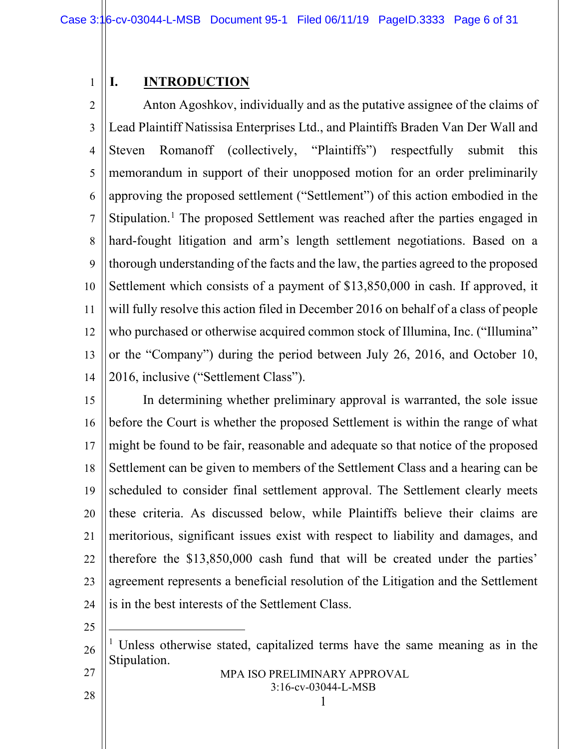### <span id="page-5-0"></span>**I. INTRODUCTION**

1

2 3 4 5 6 7 8 9 10 11 12 13 14 Anton Agoshkov, individually and as the putative assignee of the claims of Lead Plaintiff Natissisa Enterprises Ltd., and Plaintiffs Braden Van Der Wall and Steven Romanoff (collectively, "Plaintiffs") respectfully submit this memorandum in support of their unopposed motion for an order preliminarily approving the proposed settlement ("Settlement") of this action embodied in the Stipulation.<sup>[1](#page-5-1)</sup> The proposed Settlement was reached after the parties engaged in hard-fought litigation and arm's length settlement negotiations. Based on a thorough understanding of the facts and the law, the parties agreed to the proposed Settlement which consists of a payment of \$13,850,000 in cash. If approved, it will fully resolve this action filed in December 2016 on behalf of a class of people who purchased or otherwise acquired common stock of Illumina, Inc. ("Illumina" or the "Company") during the period between July 26, 2016, and October 10, 2016, inclusive ("Settlement Class").

15 16 17 18 19 20 21 22 23 24 In determining whether preliminary approval is warranted, the sole issue before the Court is whether the proposed Settlement is within the range of what might be found to be fair, reasonable and adequate so that notice of the proposed Settlement can be given to members of the Settlement Class and a hearing can be scheduled to consider final settlement approval. The Settlement clearly meets these criteria. As discussed below, while Plaintiffs believe their claims are meritorious, significant issues exist with respect to liability and damages, and therefore the \$13,850,000 cash fund that will be created under the parties' agreement represents a beneficial resolution of the Litigation and the Settlement is in the best interests of the Settlement Class.

25

 $\overline{a}$ 

<span id="page-5-1"></span>26 27 <sup>1</sup> Unless otherwise stated, capitalized terms have the same meaning as in the Stipulation.

1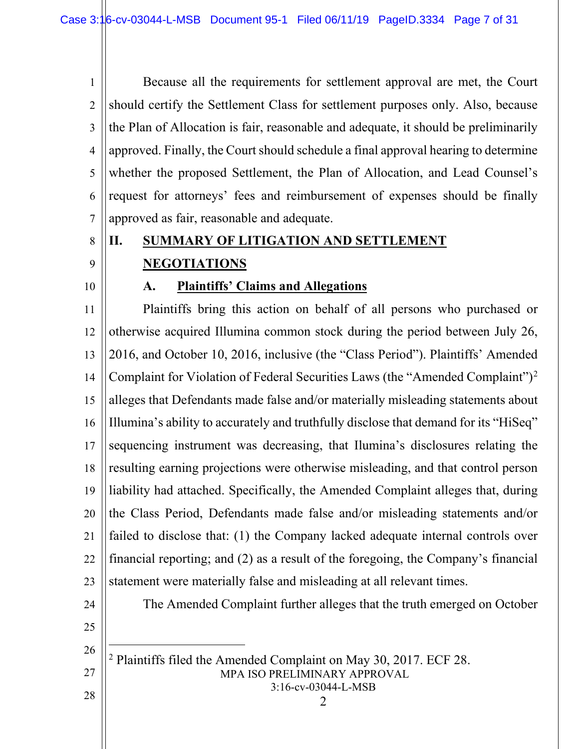1 2 3 4 5 6 7 Because all the requirements for settlement approval are met, the Court should certify the Settlement Class for settlement purposes only. Also, because the Plan of Allocation is fair, reasonable and adequate, it should be preliminarily approved. Finally, the Court should schedule a final approval hearing to determine whether the proposed Settlement, the Plan of Allocation, and Lead Counsel's request for attorneys' fees and reimbursement of expenses should be finally approved as fair, reasonable and adequate.

8

<span id="page-6-1"></span>9

### <span id="page-6-0"></span>**II. SUMMARY OF LITIGATION AND SETTLEMENT NEGOTIATIONS**

10

### **A. Plaintiffs' Claims and Allegations**

11 12 13 14 15 16 17 18 19 20 21 22 23 Plaintiffs bring this action on behalf of all persons who purchased or otherwise acquired Illumina common stock during the period between July 26, 2016, and October 10, 2016, inclusive (the "Class Period"). Plaintiffs' Amended Complaint for Violation of Federal Securities Laws (the "Amended Complaint")[2](#page-6-2) alleges that Defendants made false and/or materially misleading statements about Illumina's ability to accurately and truthfully disclose that demand for its "HiSeq" sequencing instrument was decreasing, that Ilumina's disclosures relating the resulting earning projections were otherwise misleading, and that control person liability had attached. Specifically, the Amended Complaint alleges that, during the Class Period, Defendants made false and/or misleading statements and/or failed to disclose that: (1) the Company lacked adequate internal controls over financial reporting; and (2) as a result of the foregoing, the Company's financial statement were materially false and misleading at all relevant times.

The Amended Complaint further alleges that the truth emerged on October

2

<span id="page-6-2"></span>25 26

 $\overline{a}$ 

24

- MPA ISO PRELIMINARY APPROVAL 3:16-cv-03044-L-MSB <sup>2</sup> Plaintiffs filed the Amended Complaint on May 30, 2017. ECF 28.
- 28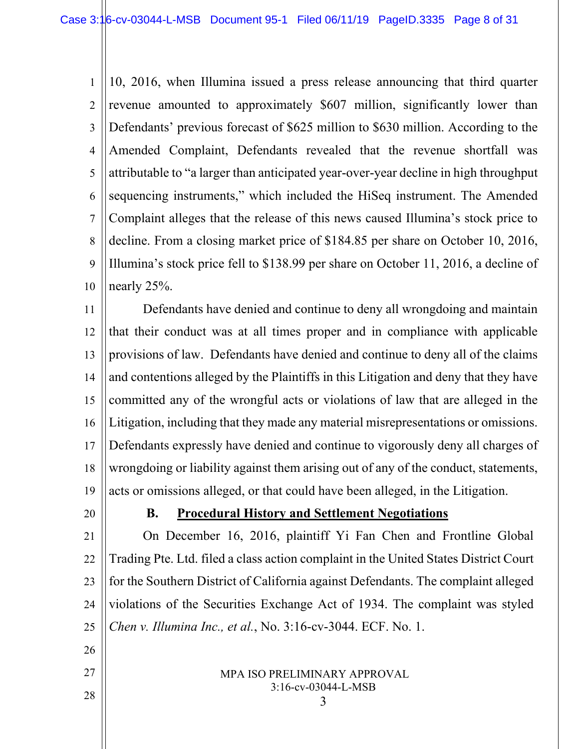1 2 3 4 5 6 7 8 9 10 10, 2016, when Illumina issued a press release announcing that third quarter revenue amounted to approximately \$607 million, significantly lower than Defendants' previous forecast of \$625 million to \$630 million. According to the Amended Complaint, Defendants revealed that the revenue shortfall was attributable to "a larger than anticipated year-over-year decline in high throughput sequencing instruments," which included the HiSeq instrument. The Amended Complaint alleges that the release of this news caused Illumina's stock price to decline. From a closing market price of \$184.85 per share on October 10, 2016, Illumina's stock price fell to \$138.99 per share on October 11, 2016, a decline of nearly 25%.

11 12 13 14 15 16 17 18 19 Defendants have denied and continue to deny all wrongdoing and maintain that their conduct was at all times proper and in compliance with applicable provisions of law. Defendants have denied and continue to deny all of the claims and contentions alleged by the Plaintiffs in this Litigation and deny that they have committed any of the wrongful acts or violations of law that are alleged in the Litigation, including that they made any material misrepresentations or omissions. Defendants expressly have denied and continue to vigorously deny all charges of wrongdoing or liability against them arising out of any of the conduct, statements, acts or omissions alleged, or that could have been alleged, in the Litigation.

<span id="page-7-0"></span>20

### **B. Procedural History and Settlement Negotiations**

21 22 23 24 25 On December 16, 2016, plaintiff Yi Fan Chen and Frontline Global Trading Pte. Ltd. filed a class action complaint in the United States District Court for the Southern District of California against Defendants. The complaint alleged violations of the Securities Exchange Act of 1934. The complaint was styled *Chen v. Illumina Inc., et al.*, No. 3:16-cv-3044. ECF. No. 1.

> MPA ISO PRELIMINARY APPROVAL 3:16-cv-03044-L-MSB

27 28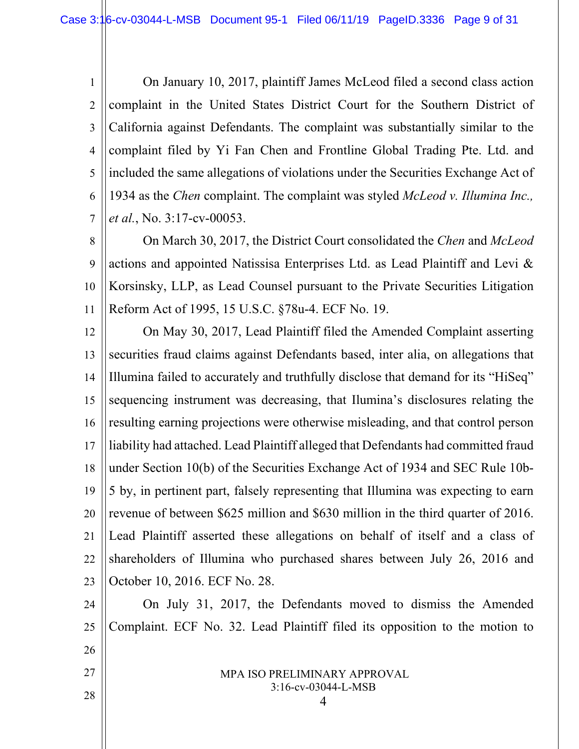1 2 3 4 5 6 7 On January 10, 2017, plaintiff James McLeod filed a second class action complaint in the United States District Court for the Southern District of California against Defendants. The complaint was substantially similar to the complaint filed by Yi Fan Chen and Frontline Global Trading Pte. Ltd. and included the same allegations of violations under the Securities Exchange Act of 1934 as the *Chen* complaint. The complaint was styled *McLeod v. Illumina Inc., et al.*, No. 3:17-cv-00053.

8 9 10 11 On March 30, 2017, the District Court consolidated the *Chen* and *McLeod* actions and appointed Natissisa Enterprises Ltd. as Lead Plaintiff and Levi & Korsinsky, LLP, as Lead Counsel pursuant to the Private Securities Litigation Reform Act of 1995, 15 U.S.C. §78u-4. ECF No. 19.

12 13 14 15 16 17 18 19 20 21 22 23 On May 30, 2017, Lead Plaintiff filed the Amended Complaint asserting securities fraud claims against Defendants based, inter alia, on allegations that Illumina failed to accurately and truthfully disclose that demand for its "HiSeq" sequencing instrument was decreasing, that Ilumina's disclosures relating the resulting earning projections were otherwise misleading, and that control person liability had attached. Lead Plaintiff alleged that Defendants had committed fraud under Section 10(b) of the Securities Exchange Act of 1934 and SEC Rule 10b-5 by, in pertinent part, falsely representing that Illumina was expecting to earn revenue of between \$625 million and \$630 million in the third quarter of 2016. Lead Plaintiff asserted these allegations on behalf of itself and a class of shareholders of Illumina who purchased shares between July 26, 2016 and October 10, 2016. ECF No. 28.

24 25 26 On July 31, 2017, the Defendants moved to dismiss the Amended Complaint. ECF No. 32. Lead Plaintiff filed its opposition to the motion to

> MPA ISO PRELIMINARY APPROVAL 3:16-cv-03044-L-MSB

27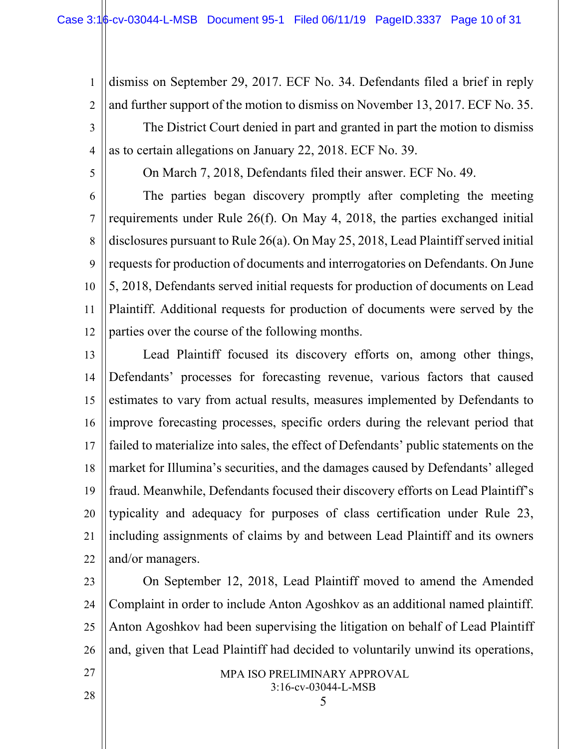2 3 4 dismiss on September 29, 2017. ECF No. 34. Defendants filed a brief in reply and further support of the motion to dismiss on November 13, 2017. ECF No. 35. The District Court denied in part and granted in part the motion to dismiss as to certain allegations on January 22, 2018. ECF No. 39.

5

1

On March 7, 2018, Defendants filed their answer. ECF No. 49.

6 7 8 9 10 11 12 The parties began discovery promptly after completing the meeting requirements under Rule 26(f). On May 4, 2018, the parties exchanged initial disclosures pursuant to Rule 26(a). On May 25, 2018, Lead Plaintiff served initial requests for production of documents and interrogatories on Defendants. On June 5, 2018, Defendants served initial requests for production of documents on Lead Plaintiff. Additional requests for production of documents were served by the parties over the course of the following months.

13 14 15 16 17 18 19 20 21 22 Lead Plaintiff focused its discovery efforts on, among other things, Defendants' processes for forecasting revenue, various factors that caused estimates to vary from actual results, measures implemented by Defendants to improve forecasting processes, specific orders during the relevant period that failed to materialize into sales, the effect of Defendants' public statements on the market for Illumina's securities, and the damages caused by Defendants' alleged fraud. Meanwhile, Defendants focused their discovery efforts on Lead Plaintiff's typicality and adequacy for purposes of class certification under Rule 23, including assignments of claims by and between Lead Plaintiff and its owners and/or managers.

23 24 25 26 On September 12, 2018, Lead Plaintiff moved to amend the Amended Complaint in order to include Anton Agoshkov as an additional named plaintiff. Anton Agoshkov had been supervising the litigation on behalf of Lead Plaintiff and, given that Lead Plaintiff had decided to voluntarily unwind its operations,

27

MPA ISO PRELIMINARY APPROVAL 3:16-cv-03044-L-MSB

5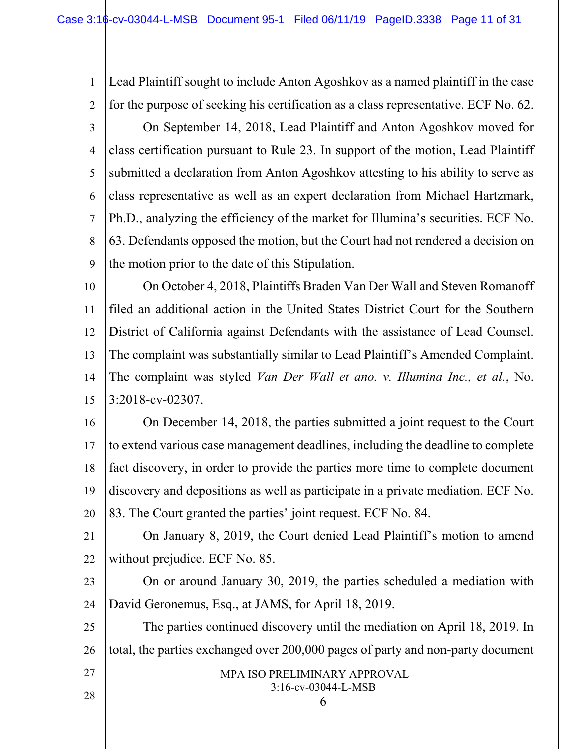1 2 3 4 5 6 7 8 9 Lead Plaintiff sought to include Anton Agoshkov as a named plaintiff in the case for the purpose of seeking his certification as a class representative. ECF No. 62. On September 14, 2018, Lead Plaintiff and Anton Agoshkov moved for class certification pursuant to Rule 23. In support of the motion, Lead Plaintiff submitted a declaration from Anton Agoshkov attesting to his ability to serve as class representative as well as an expert declaration from Michael Hartzmark, Ph.D., analyzing the efficiency of the market for Illumina's securities. ECF No. 63. Defendants opposed the motion, but the Court had not rendered a decision on the motion prior to the date of this Stipulation.

10 11 12 13 14 15 On October 4, 2018, Plaintiffs Braden Van Der Wall and Steven Romanoff filed an additional action in the United States District Court for the Southern District of California against Defendants with the assistance of Lead Counsel. The complaint was substantially similar to Lead Plaintiff's Amended Complaint. The complaint was styled *Van Der Wall et ano. v. Illumina Inc., et al.*, No. 3:2018-cv-02307.

16 17 18 19 20 On December 14, 2018, the parties submitted a joint request to the Court to extend various case management deadlines, including the deadline to complete fact discovery, in order to provide the parties more time to complete document discovery and depositions as well as participate in a private mediation. ECF No. 83. The Court granted the parties' joint request. ECF No. 84.

- 21 22 On January 8, 2019, the Court denied Lead Plaintiff's motion to amend without prejudice. ECF No. 85.
- 23 24 On or around January 30, 2019, the parties scheduled a mediation with David Geronemus, Esq., at JAMS, for April 18, 2019.

25 26 The parties continued discovery until the mediation on April 18, 2019. In total, the parties exchanged over 200,000 pages of party and non-party document

27

- MPA ISO PRELIMINARY APPROVAL 3:16-cv-03044-L-MSB
	- 6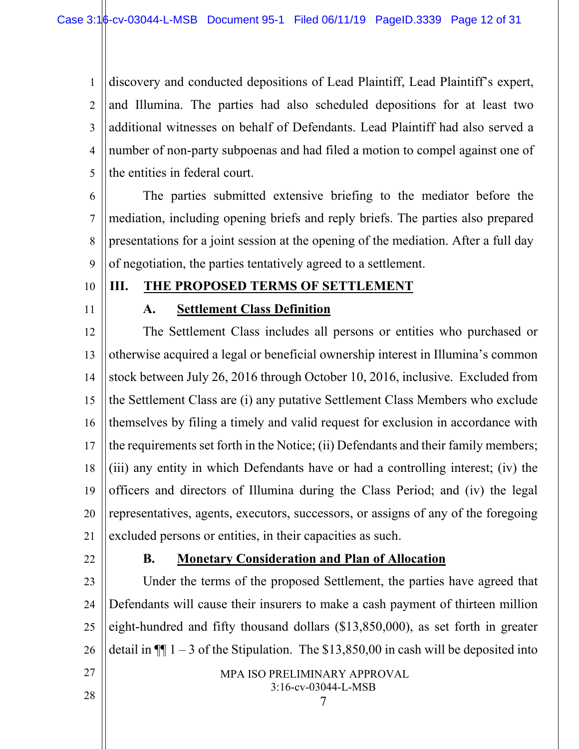1 2 3 4 5 discovery and conducted depositions of Lead Plaintiff, Lead Plaintiff's expert, and Illumina. The parties had also scheduled depositions for at least two additional witnesses on behalf of Defendants. Lead Plaintiff had also served a number of non-party subpoenas and had filed a motion to compel against one of the entities in federal court.

6 7 8 9 The parties submitted extensive briefing to the mediator before the mediation, including opening briefs and reply briefs. The parties also prepared presentations for a joint session at the opening of the mediation. After a full day of negotiation, the parties tentatively agreed to a settlement.

- 10
- 11

## **A. Settlement Class Definition**

<span id="page-11-1"></span><span id="page-11-0"></span>**III. THE PROPOSED TERMS OF SETTLEMENT**

12 13 14 15 16 17 18 19 20 21 The Settlement Class includes all persons or entities who purchased or otherwise acquired a legal or beneficial ownership interest in Illumina's common stock between July 26, 2016 through October 10, 2016, inclusive. Excluded from the Settlement Class are (i) any putative Settlement Class Members who exclude themselves by filing a timely and valid request for exclusion in accordance with the requirements set forth in the Notice; (ii) Defendants and their family members; (iii) any entity in which Defendants have or had a controlling interest; (iv) the officers and directors of Illumina during the Class Period; and (iv) the legal representatives, agents, executors, successors, or assigns of any of the foregoing excluded persons or entities, in their capacities as such.

<span id="page-11-2"></span>22

### **B. Monetary Consideration and Plan of Allocation**

23 24 25 26 Under the terms of the proposed Settlement, the parties have agreed that Defendants will cause their insurers to make a cash payment of thirteen million eight-hundred and fifty thousand dollars (\$13,850,000), as set forth in greater detail in  $\P$  1 – 3 of the Stipulation. The \$13,850,00 in cash will be deposited into

> MPA ISO PRELIMINARY APPROVAL 3:16-cv-03044-L-MSB

> > 7

28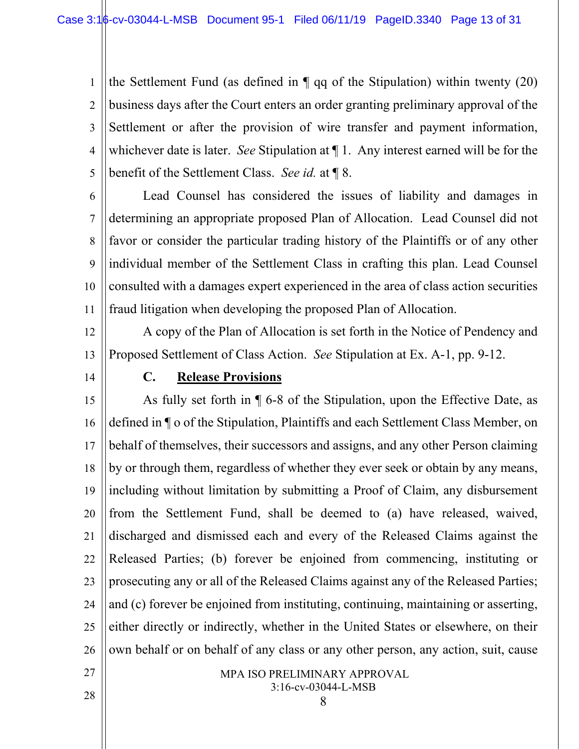1 2 3 4 5 the Settlement Fund (as defined in  $\P$  qq of the Stipulation) within twenty (20) business days after the Court enters an order granting preliminary approval of the Settlement or after the provision of wire transfer and payment information, whichever date is later. *See* Stipulation at ¶ 1. Any interest earned will be for the benefit of the Settlement Class. *See id.* at ¶ 8.

6 7 8 9 10 11 Lead Counsel has considered the issues of liability and damages in determining an appropriate proposed Plan of Allocation. Lead Counsel did not favor or consider the particular trading history of the Plaintiffs or of any other individual member of the Settlement Class in crafting this plan. Lead Counsel consulted with a damages expert experienced in the area of class action securities fraud litigation when developing the proposed Plan of Allocation.

12 13 A copy of the Plan of Allocation is set forth in the Notice of Pendency and Proposed Settlement of Class Action. *See* Stipulation at Ex. A-1, pp. 9-12.

<span id="page-12-0"></span>14

### **C. Release Provisions**

15 16 17 18 19 20 21 22 23 24 25 26 As fully set forth in ¶ 6-8 of the Stipulation, upon the Effective Date, as defined in ¶ o of the Stipulation, Plaintiffs and each Settlement Class Member, on behalf of themselves, their successors and assigns, and any other Person claiming by or through them, regardless of whether they ever seek or obtain by any means, including without limitation by submitting a Proof of Claim, any disbursement from the Settlement Fund, shall be deemed to (a) have released, waived, discharged and dismissed each and every of the Released Claims against the Released Parties; (b) forever be enjoined from commencing, instituting or prosecuting any or all of the Released Claims against any of the Released Parties; and (c) forever be enjoined from instituting, continuing, maintaining or asserting, either directly or indirectly, whether in the United States or elsewhere, on their own behalf or on behalf of any class or any other person, any action, suit, cause

#### MPA ISO PRELIMINARY APPROVAL 3:16-cv-03044-L-MSB

8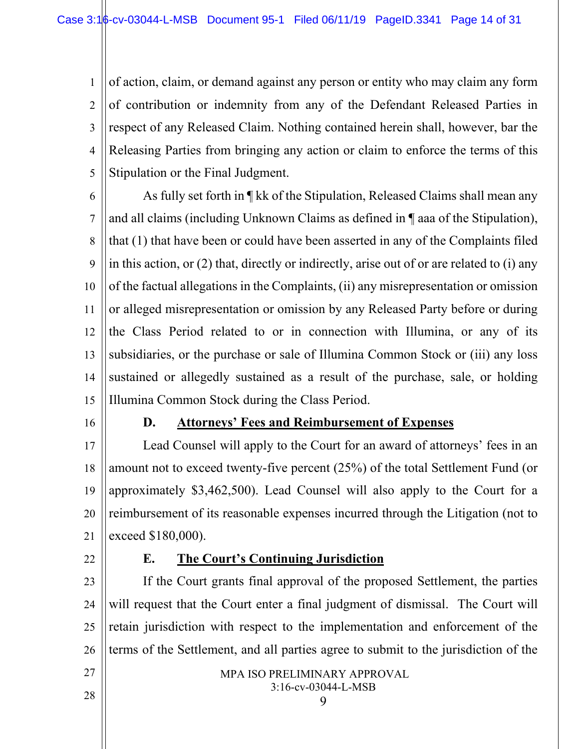1 2 3 4 5 of action, claim, or demand against any person or entity who may claim any form of contribution or indemnity from any of the Defendant Released Parties in respect of any Released Claim. Nothing contained herein shall, however, bar the Releasing Parties from bringing any action or claim to enforce the terms of this Stipulation or the Final Judgment.

6 7 8 9 10 11 12 13 14 15 As fully set forth in ¶ kk of the Stipulation, Released Claims shall mean any and all claims (including Unknown Claims as defined in ¶ aaa of the Stipulation), that (1) that have been or could have been asserted in any of the Complaints filed in this action, or (2) that, directly or indirectly, arise out of or are related to (i) any of the factual allegations in the Complaints, (ii) any misrepresentation or omission or alleged misrepresentation or omission by any Released Party before or during the Class Period related to or in connection with Illumina, or any of its subsidiaries, or the purchase or sale of Illumina Common Stock or (iii) any loss sustained or allegedly sustained as a result of the purchase, sale, or holding Illumina Common Stock during the Class Period.

<span id="page-13-0"></span>16

### **D. Attorneys' Fees and Reimbursement of Expenses**

17 18 19 20 21 Lead Counsel will apply to the Court for an award of attorneys' fees in an amount not to exceed twenty-five percent (25%) of the total Settlement Fund (or approximately \$3,462,500). Lead Counsel will also apply to the Court for a reimbursement of its reasonable expenses incurred through the Litigation (not to exceed \$180,000).

<span id="page-13-1"></span>22

### **E. The Court's Continuing Jurisdiction**

23 24 25 26 If the Court grants final approval of the proposed Settlement, the parties will request that the Court enter a final judgment of dismissal. The Court will retain jurisdiction with respect to the implementation and enforcement of the terms of the Settlement, and all parties agree to submit to the jurisdiction of the

> MPA ISO PRELIMINARY APPROVAL 3:16-cv-03044-L-MSB 9

27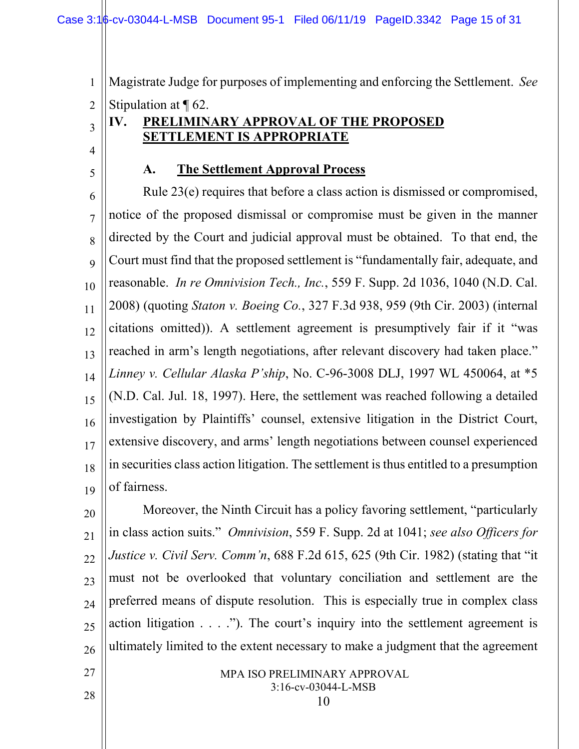Magistrate Judge for purposes of implementing and enforcing the Settlement. *See* 

2 Stipulation at ¶ 62.

### <span id="page-14-0"></span>**IV. PRELIMINARY APPROVAL OF THE PROPOSED SETTLEMENT IS APPROPRIATE**

<span id="page-14-1"></span>4 5

27

28

3

1

### **A. The Settlement Approval Process**

6 7 8 9 10 11 12 13 14 15 16 17 18 19 Rule 23(e) requires that before a class action is dismissed or compromised, notice of the proposed dismissal or compromise must be given in the manner directed by the Court and judicial approval must be obtained. To that end, the Court must find that the proposed settlement is "fundamentally fair, adequate, and reasonable. *In re Omnivision Tech., Inc.*, 559 F. Supp. 2d 1036, 1040 (N.D. Cal. 2008) (quoting *Staton v. Boeing Co.*, 327 F.3d 938, 959 (9th Cir. 2003) (internal citations omitted)). A settlement agreement is presumptively fair if it "was reached in arm's length negotiations, after relevant discovery had taken place." *Linney v. Cellular Alaska P'ship*, No. C-96-3008 DLJ, 1997 WL 450064, at \*5 (N.D. Cal. Jul. 18, 1997). Here, the settlement was reached following a detailed investigation by Plaintiffs' counsel, extensive litigation in the District Court, extensive discovery, and arms' length negotiations between counsel experienced in securities class action litigation. The settlement is thus entitled to a presumption of fairness.

20 21 22 23 24 25 26 Moreover, the Ninth Circuit has a policy favoring settlement, "particularly in class action suits." *Omnivision*, 559 F. Supp. 2d at 1041; *see also Officers for Justice v. Civil Serv. Comm'n*, 688 F.2d 615, 625 (9th Cir. 1982) (stating that "it must not be overlooked that voluntary conciliation and settlement are the preferred means of dispute resolution. This is especially true in complex class action litigation . . . ."). The court's inquiry into the settlement agreement is ultimately limited to the extent necessary to make a judgment that the agreement

#### MPA ISO PRELIMINARY APPROVAL 3:16-cv-03044-L-MSB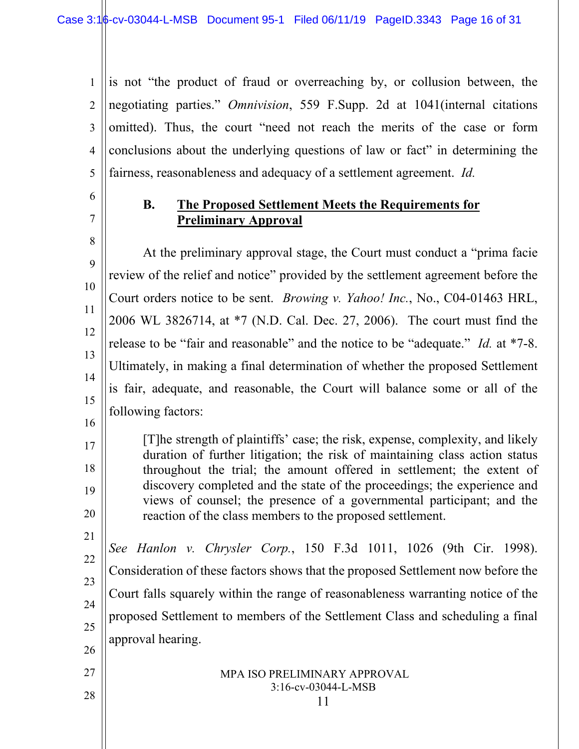1 2 3 4 5 is not "the product of fraud or overreaching by, or collusion between, the negotiating parties." *Omnivision*, 559 F.Supp. 2d at 1041(internal citations omitted). Thus, the court "need not reach the merits of the case or form conclusions about the underlying questions of law or fact" in determining the fairness, reasonableness and adequacy of a settlement agreement. *Id.*

- 6
- <span id="page-15-0"></span>7

16

17

18

19

20

26

27

28

### **B. The Proposed Settlement Meets the Requirements for Preliminary Approval**

8 9 10 11 12 13 14 15 At the preliminary approval stage, the Court must conduct a "prima facie review of the relief and notice" provided by the settlement agreement before the Court orders notice to be sent. *Browing v. Yahoo! Inc.*, No., C04-01463 HRL, 2006 WL 3826714, at \*7 (N.D. Cal. Dec. 27, 2006). The court must find the release to be "fair and reasonable" and the notice to be "adequate." *Id.* at \*7-8. Ultimately, in making a final determination of whether the proposed Settlement is fair, adequate, and reasonable, the Court will balance some or all of the following factors:

[T]he strength of plaintiffs' case; the risk, expense, complexity, and likely duration of further litigation; the risk of maintaining class action status throughout the trial; the amount offered in settlement; the extent of discovery completed and the state of the proceedings; the experience and views of counsel; the presence of a governmental participant; and the reaction of the class members to the proposed settlement.

21 22 23 24 25 *See Hanlon v. Chrysler Corp.*, 150 F.3d 1011, 1026 (9th Cir. 1998). Consideration of these factors shows that the proposed Settlement now before the Court falls squarely within the range of reasonableness warranting notice of the proposed Settlement to members of the Settlement Class and scheduling a final approval hearing.

> MPA ISO PRELIMINARY APPROVAL 3:16-cv-03044-L-MSB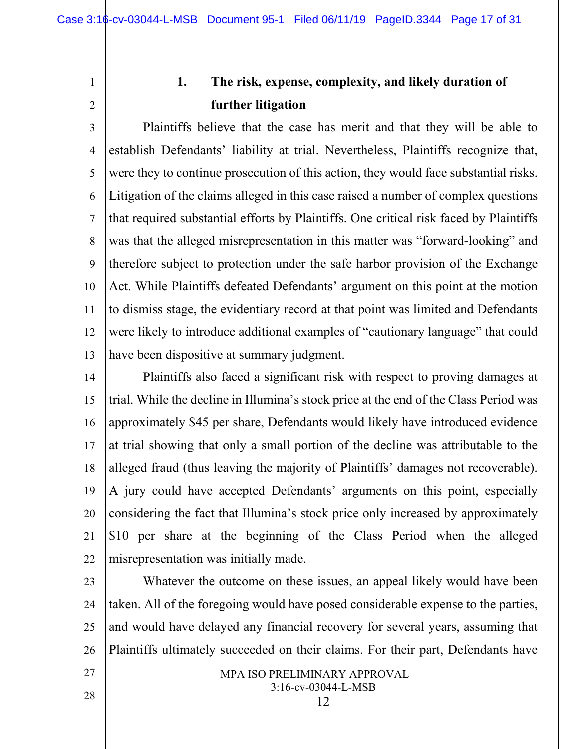2

<span id="page-16-0"></span>1

### **1. The risk, expense, complexity, and likely duration of further litigation**

3 4 5 6 7 8 9 10 11 12 13 Plaintiffs believe that the case has merit and that they will be able to establish Defendants' liability at trial. Nevertheless, Plaintiffs recognize that, were they to continue prosecution of this action, they would face substantial risks. Litigation of the claims alleged in this case raised a number of complex questions that required substantial efforts by Plaintiffs. One critical risk faced by Plaintiffs was that the alleged misrepresentation in this matter was "forward-looking" and therefore subject to protection under the safe harbor provision of the Exchange Act. While Plaintiffs defeated Defendants' argument on this point at the motion to dismiss stage, the evidentiary record at that point was limited and Defendants were likely to introduce additional examples of "cautionary language" that could have been dispositive at summary judgment.

14 15 16 17 18 19 20 21 22 Plaintiffs also faced a significant risk with respect to proving damages at trial. While the decline in Illumina's stock price at the end of the Class Period was approximately \$45 per share, Defendants would likely have introduced evidence at trial showing that only a small portion of the decline was attributable to the alleged fraud (thus leaving the majority of Plaintiffs' damages not recoverable). A jury could have accepted Defendants' arguments on this point, especially considering the fact that Illumina's stock price only increased by approximately \$10 per share at the beginning of the Class Period when the alleged misrepresentation was initially made.

23

24 25 26 Whatever the outcome on these issues, an appeal likely would have been taken. All of the foregoing would have posed considerable expense to the parties, and would have delayed any financial recovery for several years, assuming that Plaintiffs ultimately succeeded on their claims. For their part, Defendants have

27

MPA ISO PRELIMINARY APPROVAL 3:16-cv-03044-L-MSB

12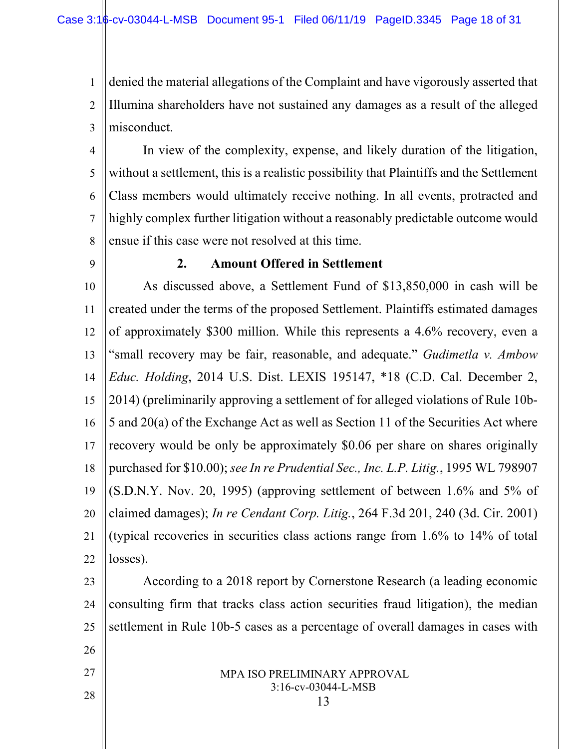1 2 3 denied the material allegations of the Complaint and have vigorously asserted that Illumina shareholders have not sustained any damages as a result of the alleged misconduct.

4 5 6 7 8 In view of the complexity, expense, and likely duration of the litigation, without a settlement, this is a realistic possibility that Plaintiffs and the Settlement Class members would ultimately receive nothing. In all events, protracted and highly complex further litigation without a reasonably predictable outcome would ensue if this case were not resolved at this time.

<span id="page-17-0"></span>9

26

27

28

### **2. Amount Offered in Settlement**

10 11 12 13 14 15 16 17 18 19 20 21 22 As discussed above, a Settlement Fund of \$13,850,000 in cash will be created under the terms of the proposed Settlement. Plaintiffs estimated damages of approximately \$300 million. While this represents a 4.6% recovery, even a "small recovery may be fair, reasonable, and adequate." *Gudimetla v. Ambow Educ. Holding*, 2014 U.S. Dist. LEXIS 195147, \*18 (C.D. Cal. December 2, 2014) (preliminarily approving a settlement of for alleged violations of Rule 10b-5 and 20(a) of the Exchange Act as well as Section 11 of the Securities Act where recovery would be only be approximately \$0.06 per share on shares originally purchased for \$10.00); *see In re Prudential Sec., Inc. L.P. Litig.*, 1995 WL 798907 (S.D.N.Y. Nov. 20, 1995) (approving settlement of between 1.6% and 5% of claimed damages); *In re Cendant Corp. Litig.*, 264 F.3d 201, 240 (3d. Cir. 2001) (typical recoveries in securities class actions range from 1.6% to 14% of total losses).

23 24 25 According to a 2018 report by Cornerstone Research (a leading economic consulting firm that tracks class action securities fraud litigation), the median settlement in Rule 10b-5 cases as a percentage of overall damages in cases with

#### MPA ISO PRELIMINARY APPROVAL 3:16-cv-03044-L-MSB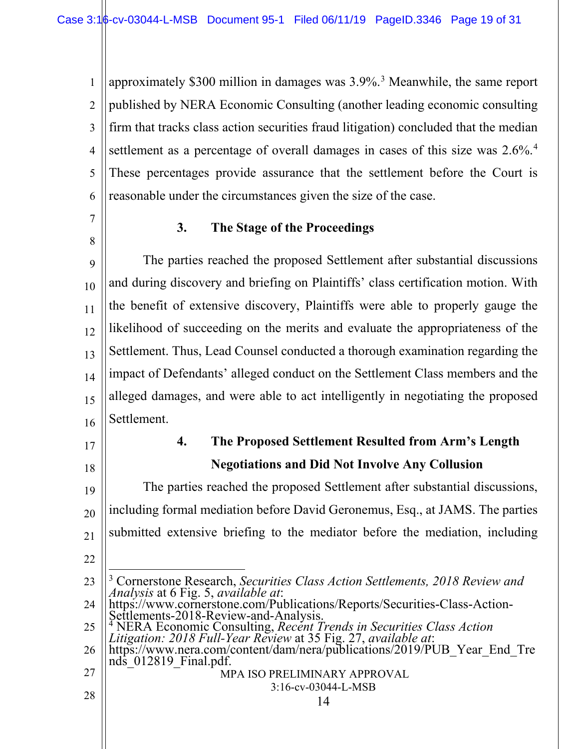1 2 3 4 5 6 approximately \$300 million in damages was 3.9%. [3](#page-18-2) Meanwhile, the same report published by NERA Economic Consulting (another leading economic consulting firm that tracks class action securities fraud litigation) concluded that the median settlement as a percentage of overall damages in cases of this size was  $2.6\%$ .<sup>[4](#page-18-3)</sup> These percentages provide assurance that the settlement before the Court is reasonable under the circumstances given the size of the case.

<span id="page-18-0"></span>7

8

### **3. The Stage of the Proceedings**

9 10 11 12 13 14 15 16 The parties reached the proposed Settlement after substantial discussions and during discovery and briefing on Plaintiffs' class certification motion. With the benefit of extensive discovery, Plaintiffs were able to properly gauge the likelihood of succeeding on the merits and evaluate the appropriateness of the Settlement. Thus, Lead Counsel conducted a thorough examination regarding the impact of Defendants' alleged conduct on the Settlement Class members and the alleged damages, and were able to act intelligently in negotiating the proposed Settlement.

<span id="page-18-1"></span>17

18

### **4. The Proposed Settlement Resulted from Arm's Length Negotiations and Did Not Involve Any Collusion**

19 20 21 22 The parties reached the proposed Settlement after substantial discussions, including formal mediation before David Geronemus, Esq., at JAMS. The parties submitted extensive briefing to the mediator before the mediation, including

- <span id="page-18-2"></span>23 24 3 Cornerstone Research, *Securities Class Action Settlements, 2018 Review and Analysis* at 6 Fig. 5, *available at*: https://www.cornerstone.com/Publications/Reports/Securities-Class-Action- Settlements-2018-Review-and-Analysis. <sup>4</sup> NERA Economic Consulting, *Recent Trends in Securities Class Action*
- <span id="page-18-3"></span>25 *Litigation: 2018 Full-Year Review* at 35 Fig. 27, *available at*:
- 26 27 https://www.nera.com/content/dam/nera/publications/2019/PUB\_Year\_End\_Tre<br>nds\_012819\_Final.pdf.
	- MPA ISO PRELIMINARY APPROVAL 3:16-cv-03044-L-MSB

14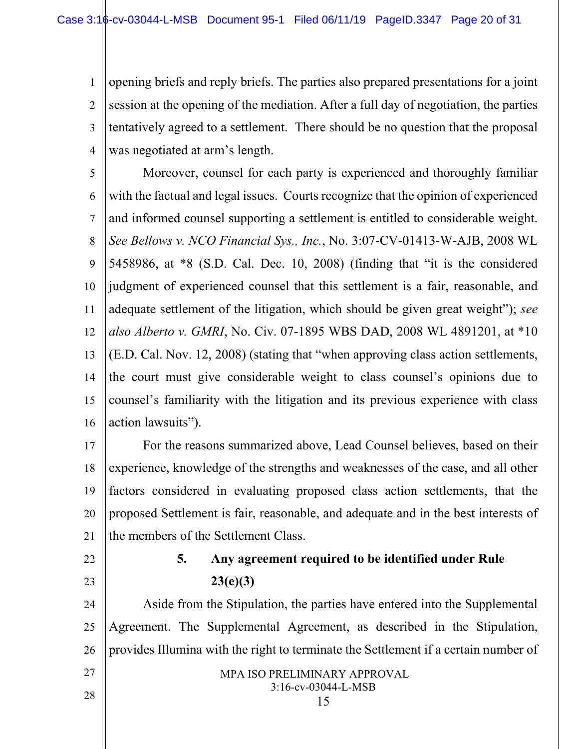1 2 3 4 opening briefs and reply briefs. The parties also prepared presentations for a joint session at the opening of the mediation. After a full day of negotiation, the parties tentatively agreed to a settlement. There should be no question that the proposal was negotiated at arm's length.

5 6 7 8 9 10 11 12 13 14 15 16 Moreover, counsel for each party is experienced and thoroughly familiar with the factual and legal issues. Courts recognize that the opinion of experienced and informed counsel supporting a settlement is entitled to considerable weight. *See Bellows v. NCO Financial Sys., Inc.*, No. 3:07-CV-01413-W-AJB, 2008 WL 5458986, at \*8 (S.D. Cal. Dec. 10, 2008) (finding that "it is the considered judgment of experienced counsel that this settlement is a fair, reasonable, and adequate settlement of the litigation, which should be given great weight"); *see also Alberto v. GMRI*, No. Civ. 07-1895 WBS DAD, 2008 WL 4891201, at \*10 (E.D. Cal. Nov. 12, 2008) (stating that "when approving class action settlements, the court must give considerable weight to class counsel's opinions due to counsel's familiarity with the litigation and its previous experience with class action lawsuits").

17 18 19 20 21 For the reasons summarized above, Lead Counsel believes, based on their experience, knowledge of the strengths and weaknesses of the case, and all other factors considered in evaluating proposed class action settlements, that the proposed Settlement is fair, reasonable, and adequate and in the best interests of the members of the Settlement Class.

<span id="page-19-0"></span>22

# 23

## **5. Any agreement required to be identified under Rule 23(e)(3)**

24 25 26 27 Aside from the Stipulation, the parties have entered into the Supplemental Agreement. The Supplemental Agreement, as described in the Stipulation, provides Illumina with the right to terminate the Settlement if a certain number of

MPA ISO PRELIMINARY APPROVAL 3:16-cv-03044-L-MSB

15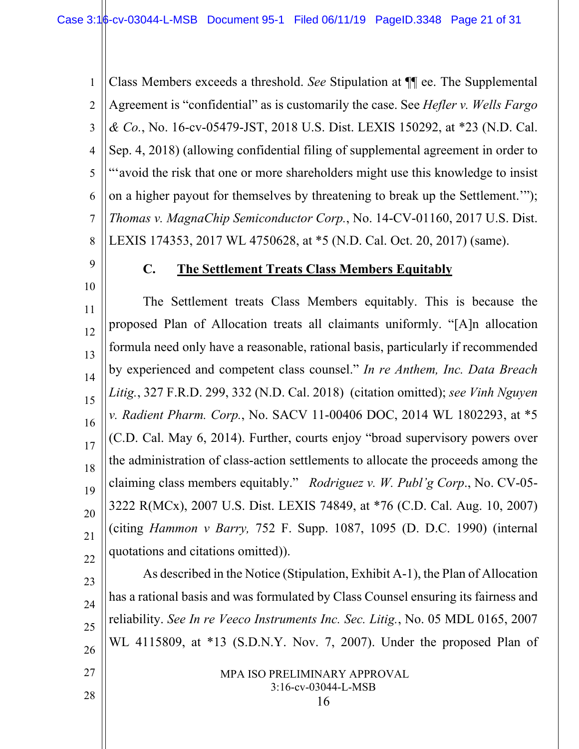1 2 3 4 5 6 7 8 Class Members exceeds a threshold. *See* Stipulation at ¶¶ ee. The Supplemental Agreement is "confidential" as is customarily the case. See *Hefler v. Wells Fargo & Co.*, No. 16-cv-05479-JST, 2018 U.S. Dist. LEXIS 150292, at \*23 (N.D. Cal. Sep. 4, 2018) (allowing confidential filing of supplemental agreement in order to "'avoid the risk that one or more shareholders might use this knowledge to insist on a higher payout for themselves by threatening to break up the Settlement.'"); *Thomas v. MagnaChip Semiconductor Corp.*, No. 14-CV-01160, 2017 U.S. Dist. LEXIS 174353, 2017 WL 4750628, at \*5 (N.D. Cal. Oct. 20, 2017) (same).

<span id="page-20-0"></span>9

10

27

28

### **C. The Settlement Treats Class Members Equitably**

11 12 13 14 15 16 17 18 19 20 21 22 The Settlement treats Class Members equitably. This is because the proposed Plan of Allocation treats all claimants uniformly. "[A]n allocation formula need only have a reasonable, rational basis, particularly if recommended by experienced and competent class counsel." *In re Anthem, Inc. Data Breach Litig.*, 327 F.R.D. 299, 332 (N.D. Cal. 2018) (citation omitted); *see Vinh Nguyen v. Radient Pharm. Corp.*, No. SACV 11-00406 DOC, 2014 WL 1802293, at \*5 (C.D. Cal. May 6, 2014). Further, courts enjoy "broad supervisory powers over the administration of class-action settlements to allocate the proceeds among the claiming class members equitably." *Rodriguez v. W. Publ'g Corp*., No. CV-05- 3222 R(MCx), 2007 U.S. Dist. LEXIS 74849, at \*76 (C.D. Cal. Aug. 10, 2007) (citing *Hammon v Barry,* 752 F. Supp. 1087, 1095 (D. D.C. 1990) (internal quotations and citations omitted)).

23 24 25 26 As described in the Notice (Stipulation, Exhibit A-1), the Plan of Allocation has a rational basis and was formulated by Class Counsel ensuring its fairness and reliability. *See In re Veeco Instruments Inc. Sec. Litig.*, No. 05 MDL 0165, 2007 WL 4115809, at \*13 (S.D.N.Y. Nov. 7, 2007). Under the proposed Plan of

> MPA ISO PRELIMINARY APPROVAL 3:16-cv-03044-L-MSB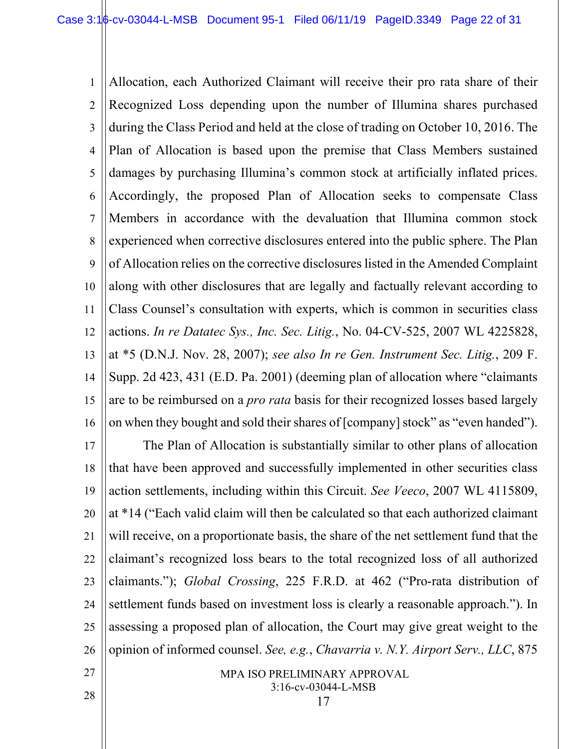1 2 3 4 5 6 7 8 9 10 11 12 13 14 15 16 Allocation, each Authorized Claimant will receive their pro rata share of their Recognized Loss depending upon the number of Illumina shares purchased during the Class Period and held at the close of trading on October 10, 2016. The Plan of Allocation is based upon the premise that Class Members sustained damages by purchasing Illumina's common stock at artificially inflated prices. Accordingly, the proposed Plan of Allocation seeks to compensate Class Members in accordance with the devaluation that Illumina common stock experienced when corrective disclosures entered into the public sphere. The Plan of Allocation relies on the corrective disclosures listed in the Amended Complaint along with other disclosures that are legally and factually relevant according to Class Counsel's consultation with experts, which is common in securities class actions. *In re Datatec Sys., Inc. Sec. Litig.*, No. 04-CV-525, 2007 WL 4225828, at \*5 (D.N.J. Nov. 28, 2007); *see also In re Gen. Instrument Sec. Litig.*, 209 F. Supp. 2d 423, 431 (E.D. Pa. 2001) (deeming plan of allocation where "claimants are to be reimbursed on a *pro rata* basis for their recognized losses based largely on when they bought and sold their shares of [company] stock" as "even handed").

17 18 19 20 21 22 23 24 25 26 The Plan of Allocation is substantially similar to other plans of allocation that have been approved and successfully implemented in other securities class action settlements, including within this Circuit. *See Veeco*, 2007 WL 4115809, at \*14 ("Each valid claim will then be calculated so that each authorized claimant will receive, on a proportionate basis, the share of the net settlement fund that the claimant's recognized loss bears to the total recognized loss of all authorized claimants."); *Global Crossing*, 225 F.R.D. at 462 ("Pro-rata distribution of settlement funds based on investment loss is clearly a reasonable approach."). In assessing a proposed plan of allocation, the Court may give great weight to the opinion of informed counsel. *See, e.g.*, *Chavarria v. N.Y. Airport Serv., LLC*, 875

> MPA ISO PRELIMINARY APPROVAL 3:16-cv-03044-L-MSB

27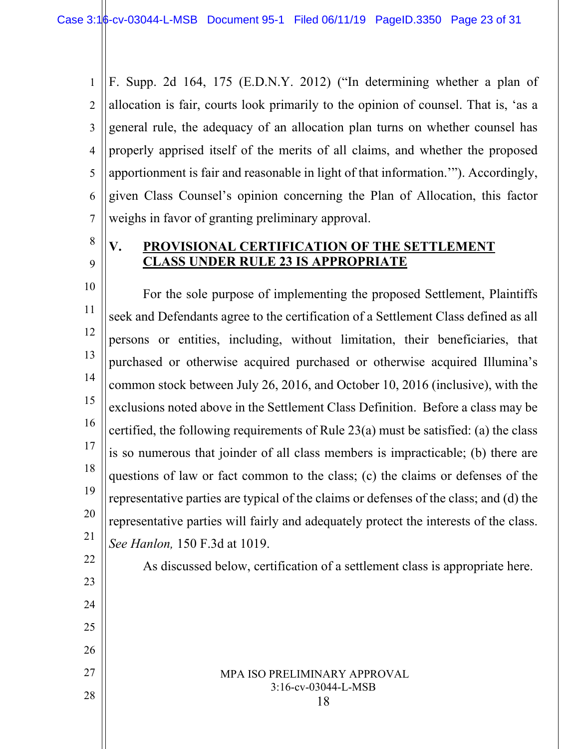1 2 3 4 5 6 7 F. Supp. 2d 164, 175 (E.D.N.Y. 2012) ("In determining whether a plan of allocation is fair, courts look primarily to the opinion of counsel. That is, 'as a general rule, the adequacy of an allocation plan turns on whether counsel has properly apprised itself of the merits of all claims, and whether the proposed apportionment is fair and reasonable in light of that information.'"). Accordingly, given Class Counsel's opinion concerning the Plan of Allocation, this factor weighs in favor of granting preliminary approval.

8 9

### <span id="page-22-0"></span>**V. PROVISIONAL CERTIFICATION OF THE SETTLEMENT CLASS UNDER RULE 23 IS APPROPRIATE**

10 11 12 13 14 15 16 17 18 19 20 21 For the sole purpose of implementing the proposed Settlement, Plaintiffs seek and Defendants agree to the certification of a Settlement Class defined as all persons or entities, including, without limitation, their beneficiaries, that purchased or otherwise acquired purchased or otherwise acquired Illumina's common stock between July 26, 2016, and October 10, 2016 (inclusive), with the exclusions noted above in the Settlement Class Definition. Before a class may be certified, the following requirements of Rule 23(a) must be satisfied: (a) the class is so numerous that joinder of all class members is impracticable; (b) there are questions of law or fact common to the class; (c) the claims or defenses of the representative parties are typical of the claims or defenses of the class; and (d) the representative parties will fairly and adequately protect the interests of the class. *See Hanlon,* 150 F.3d at 1019.

22 23

24

25

26

27

As discussed below, certification of a settlement class is appropriate here.

### MPA ISO PRELIMINARY APPROVAL 3:16-cv-03044-L-MSB

18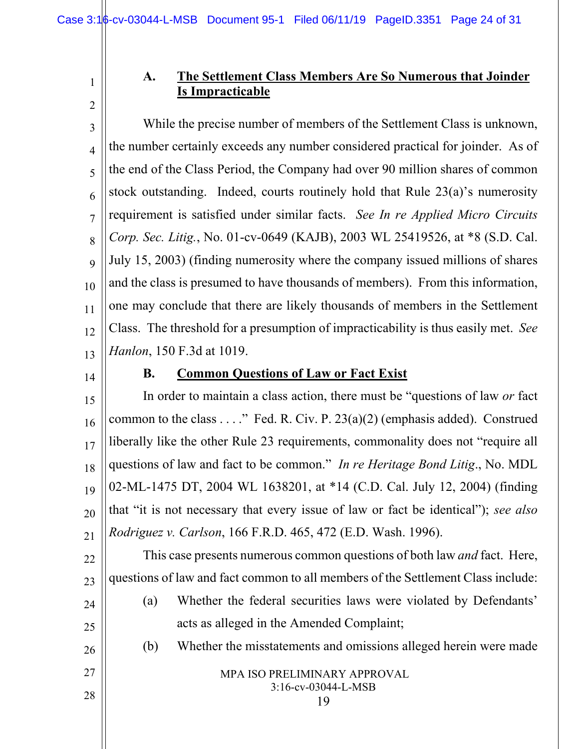### **A. The Settlement Class Members Are So Numerous that Joinder Is Impracticable**

3 4 5 6 7 8 9 10 11 12 13 While the precise number of members of the Settlement Class is unknown, the number certainly exceeds any number considered practical for joinder. As of the end of the Class Period, the Company had over 90 million shares of common stock outstanding. Indeed, courts routinely hold that Rule 23(a)'s numerosity requirement is satisfied under similar facts. *See In re Applied Micro Circuits Corp. Sec. Litig.*, No. 01-cv-0649 (KAJB), 2003 WL 25419526, at \*8 (S.D. Cal. July 15, 2003) (finding numerosity where the company issued millions of shares and the class is presumed to have thousands of members). From this information, one may conclude that there are likely thousands of members in the Settlement Class. The threshold for a presumption of impracticability is thus easily met. *See Hanlon*, 150 F.3d at 1019.

<span id="page-23-1"></span>14

<span id="page-23-0"></span>1

2

### **B. Common Questions of Law or Fact Exist**

15 16 17 18 19 20 21 In order to maintain a class action, there must be "questions of law *or* fact common to the class . . . ." Fed. R. Civ. P. 23(a)(2) (emphasis added). Construed liberally like the other Rule 23 requirements, commonality does not "require all questions of law and fact to be common." *In re Heritage Bond Litig*., No. MDL 02-ML-1475 DT, 2004 WL 1638201, at \*14 (C.D. Cal. July 12, 2004) (finding that "it is not necessary that every issue of law or fact be identical"); *see also Rodriguez v. Carlson*, 166 F.R.D. 465, 472 (E.D. Wash. 1996).

22 23 This case presents numerous common questions of both law *and* fact. Here, questions of law and fact common to all members of the Settlement Class include:

(a) Whether the federal securities laws were violated by Defendants' acts as alleged in the Amended Complaint;

(b) Whether the misstatements and omissions alleged herein were made

26

25

24

27

28

MPA ISO PRELIMINARY APPROVAL 3:16-cv-03044-L-MSB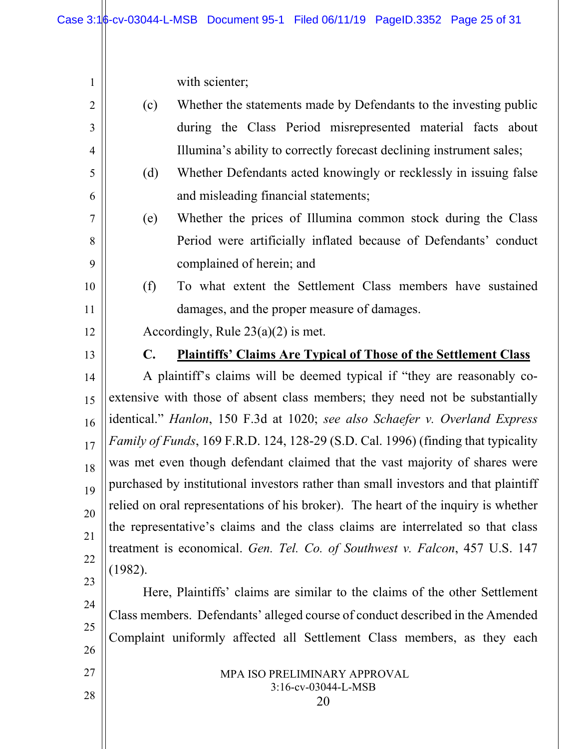with scienter;

<span id="page-24-0"></span>

| $\sqrt{2}$ | Whether the statements made by Defendants to the investing public<br>(c)                                                                                       |                                                                   |  |  |  |
|------------|----------------------------------------------------------------------------------------------------------------------------------------------------------------|-------------------------------------------------------------------|--|--|--|
| 3          | during the Class Period misrepresented material facts about                                                                                                    |                                                                   |  |  |  |
| 4          | Illumina's ability to correctly forecast declining instrument sales;                                                                                           |                                                                   |  |  |  |
| 5          | (d)                                                                                                                                                            | Whether Defendants acted knowingly or recklessly in issuing false |  |  |  |
| 6          | and misleading financial statements;                                                                                                                           |                                                                   |  |  |  |
| 7          | Whether the prices of Illumina common stock during the Class<br>(e)                                                                                            |                                                                   |  |  |  |
| 8          | Period were artificially inflated because of Defendants' conduct                                                                                               |                                                                   |  |  |  |
| 9          | complained of herein; and                                                                                                                                      |                                                                   |  |  |  |
| 10         | (f)                                                                                                                                                            | To what extent the Settlement Class members have sustained        |  |  |  |
| 11         | damages, and the proper measure of damages.                                                                                                                    |                                                                   |  |  |  |
| 12         | Accordingly, Rule $23(a)(2)$ is met.                                                                                                                           |                                                                   |  |  |  |
| 13         | <b>Plaintiffs' Claims Are Typical of Those of the Settlement Class</b><br>$\mathbf{C}$ .                                                                       |                                                                   |  |  |  |
| 14         | A plaintiff's claims will be deemed typical if "they are reasonably co-                                                                                        |                                                                   |  |  |  |
| 15         | extensive with those of absent class members; they need not be substantially                                                                                   |                                                                   |  |  |  |
| 16         | identical." Hanlon, 150 F.3d at 1020; see also Schaefer v. Overland Express                                                                                    |                                                                   |  |  |  |
| 17         | Family of Funds, 169 F.R.D. 124, 128-29 (S.D. Cal. 1996) (finding that typicality                                                                              |                                                                   |  |  |  |
| 18         | was met even though defendant claimed that the vast majority of shares were                                                                                    |                                                                   |  |  |  |
| 19         | purchased by institutional investors rather than small investors and that plaintiff                                                                            |                                                                   |  |  |  |
| 20         | relied on oral representations of his broker). The heart of the inquiry is whether                                                                             |                                                                   |  |  |  |
| 21         | the representative's claims and the class claims are interrelated so that class<br>treatment is economical. Gen. Tel. Co. of Southwest v. Falcon, 457 U.S. 147 |                                                                   |  |  |  |
| 22         | (1982).                                                                                                                                                        |                                                                   |  |  |  |
| 23         | Here, Plaintiffs' claims are similar to the claims of the other Settlement                                                                                     |                                                                   |  |  |  |
| 24         | Class members. Defendants' alleged course of conduct described in the Amended                                                                                  |                                                                   |  |  |  |
| 25         | Complaint uniformly affected all Settlement Class members, as they each                                                                                        |                                                                   |  |  |  |
| 26         |                                                                                                                                                                |                                                                   |  |  |  |
| 27         | MPA ISO PRELIMINARY APPROVAL                                                                                                                                   |                                                                   |  |  |  |
| 28         | 3:16-cv-03044-L-MSB<br>20                                                                                                                                      |                                                                   |  |  |  |
|            |                                                                                                                                                                |                                                                   |  |  |  |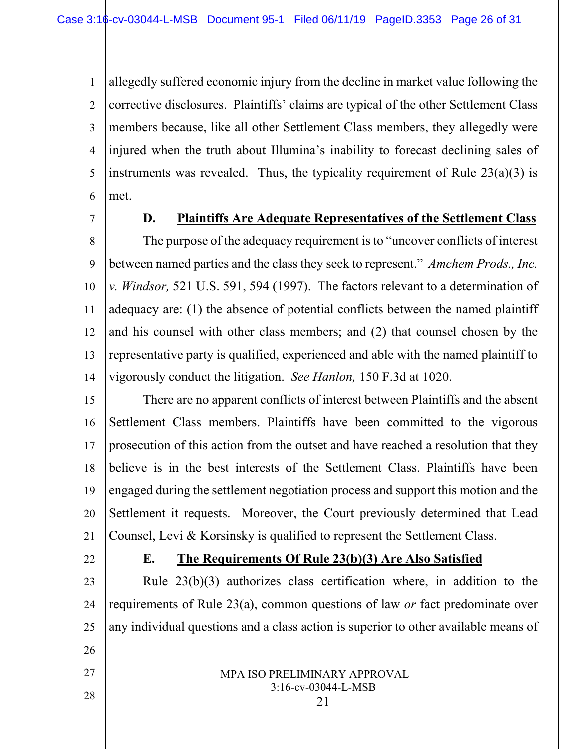1 2 3 4 5 6 allegedly suffered economic injury from the decline in market value following the corrective disclosures. Plaintiffs' claims are typical of the other Settlement Class members because, like all other Settlement Class members, they allegedly were injured when the truth about Illumina's inability to forecast declining sales of instruments was revealed. Thus, the typicality requirement of Rule  $23(a)(3)$  is met.

<span id="page-25-0"></span>7

### **D. Plaintiffs Are Adequate Representatives of the Settlement Class**

8 9 10 11 12 13 14 The purpose of the adequacy requirement is to "uncover conflicts of interest between named parties and the class they seek to represent." *Amchem Prods., Inc. v. Windsor,* 521 U.S. 591, 594 (1997). The factors relevant to a determination of adequacy are: (1) the absence of potential conflicts between the named plaintiff and his counsel with other class members; and (2) that counsel chosen by the representative party is qualified, experienced and able with the named plaintiff to vigorously conduct the litigation. *See Hanlon,* 150 F.3d at 1020.

15 16 17 18 19 20 21 There are no apparent conflicts of interest between Plaintiffs and the absent Settlement Class members. Plaintiffs have been committed to the vigorous prosecution of this action from the outset and have reached a resolution that they believe is in the best interests of the Settlement Class. Plaintiffs have been engaged during the settlement negotiation process and support this motion and the Settlement it requests. Moreover, the Court previously determined that Lead Counsel, Levi & Korsinsky is qualified to represent the Settlement Class.

<span id="page-25-1"></span>22

27

28

### **E. The Requirements Of Rule 23(b)(3) Are Also Satisfied**

23 24 25 26 Rule 23(b)(3) authorizes class certification where, in addition to the requirements of Rule 23(a), common questions of law *or* fact predominate over any individual questions and a class action is superior to other available means of

- MPA ISO PRELIMINARY APPROVAL 3:16-cv-03044-L-MSB
	- 21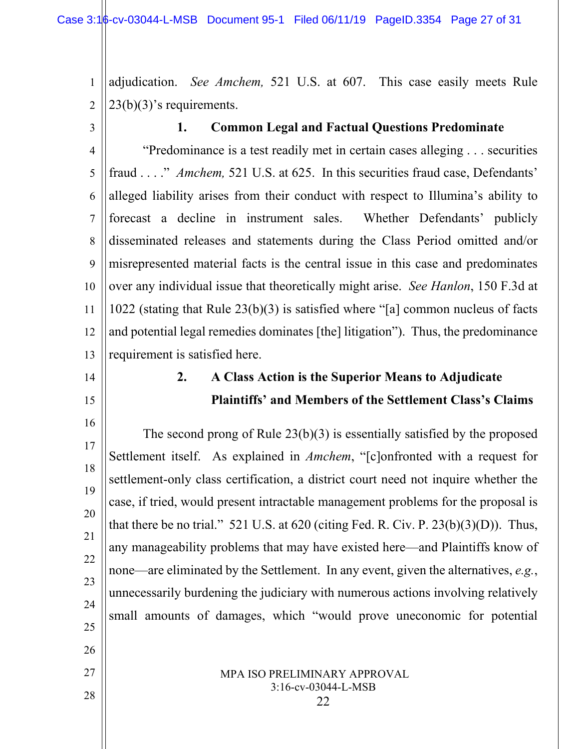2 adjudication. *See Amchem,* 521 U.S. at 607. This case easily meets Rule  $23(b)(3)$ 's requirements.

<span id="page-26-0"></span>3

<span id="page-26-1"></span>14

15

26

27

28

1

### **1. Common Legal and Factual Questions Predominate**

4 5 6 7 8 9 10 11 12 13 "Predominance is a test readily met in certain cases alleging . . . securities fraud . . . ." *Amchem,* 521 U.S. at 625. In this securities fraud case, Defendants' alleged liability arises from their conduct with respect to Illumina's ability to forecast a decline in instrument sales. Whether Defendants' publicly disseminated releases and statements during the Class Period omitted and/or misrepresented material facts is the central issue in this case and predominates over any individual issue that theoretically might arise. *See Hanlon*, 150 F.3d at 1022 (stating that Rule 23(b)(3) is satisfied where "[a] common nucleus of facts and potential legal remedies dominates [the] litigation"). Thus, the predominance requirement is satisfied here.

### **2. A Class Action is the Superior Means to Adjudicate Plaintiffs' and Members of the Settlement Class's Claims**

16 17 18 19 20 21 22 23 24 25 The second prong of Rule 23(b)(3) is essentially satisfied by the proposed Settlement itself. As explained in *Amchem*, "[c]onfronted with a request for settlement-only class certification, a district court need not inquire whether the case, if tried, would present intractable management problems for the proposal is that there be no trial." 521 U.S. at  $620$  (citing Fed. R. Civ. P.  $23(b)(3)(D)$ ). Thus, any manageability problems that may have existed here—and Plaintiffs know of none—are eliminated by the Settlement. In any event, given the alternatives, *e.g.*, unnecessarily burdening the judiciary with numerous actions involving relatively small amounts of damages, which "would prove uneconomic for potential

> MPA ISO PRELIMINARY APPROVAL 3:16-cv-03044-L-MSB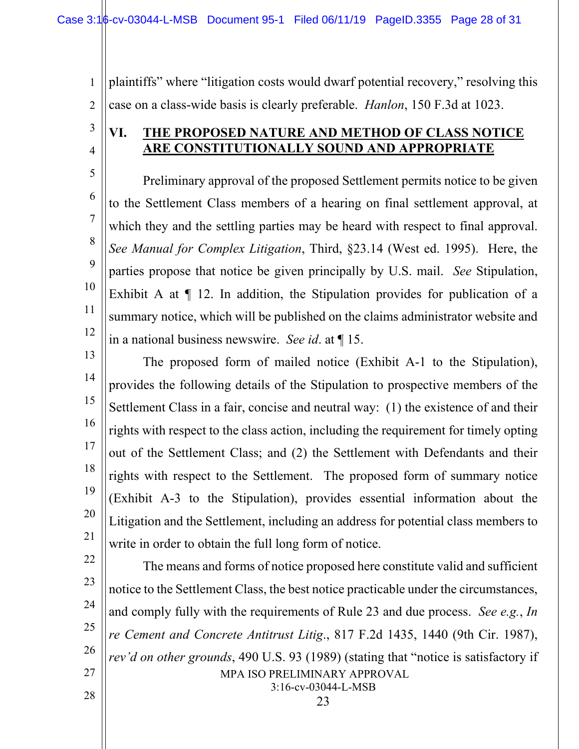1 2 plaintiffs" where "litigation costs would dwarf potential recovery," resolving this case on a class-wide basis is clearly preferable. *Hanlon*, 150 F.3d at 1023.

### <span id="page-27-0"></span>**VI. THE PROPOSED NATURE AND METHOD OF CLASS NOTICE ARE CONSTITUTIONALLY SOUND AND APPROPRIATE**

5 6 7 8 9 10 11 12 Preliminary approval of the proposed Settlement permits notice to be given to the Settlement Class members of a hearing on final settlement approval, at which they and the settling parties may be heard with respect to final approval. *See Manual for Complex Litigation*, Third, §23.14 (West ed. 1995). Here, the parties propose that notice be given principally by U.S. mail. *See* Stipulation, Exhibit A at ¶ 12. In addition, the Stipulation provides for publication of a summary notice, which will be published on the claims administrator website and in a national business newswire. *See id*. at ¶ 15.

13 14 15 16 17 18 19 20 21 The proposed form of mailed notice (Exhibit A-1 to the Stipulation), provides the following details of the Stipulation to prospective members of the Settlement Class in a fair, concise and neutral way: (1) the existence of and their rights with respect to the class action, including the requirement for timely opting out of the Settlement Class; and (2) the Settlement with Defendants and their rights with respect to the Settlement. The proposed form of summary notice (Exhibit A-3 to the Stipulation), provides essential information about the Litigation and the Settlement, including an address for potential class members to write in order to obtain the full long form of notice.

22 23

3

4

24

25

26

27

28

3:16-cv-03044-L-MSB 23

The means and forms of notice proposed here constitute valid and sufficient

notice to the Settlement Class, the best notice practicable under the circumstances,

and comply fully with the requirements of Rule 23 and due process. *See e.g.*, *In* 

*re Cement and Concrete Antitrust Litig*., 817 F.2d 1435, 1440 (9th Cir. 1987),

*rev'd on other grounds*, 490 U.S. 93 (1989) (stating that "notice is satisfactory if

MPA ISO PRELIMINARY APPROVAL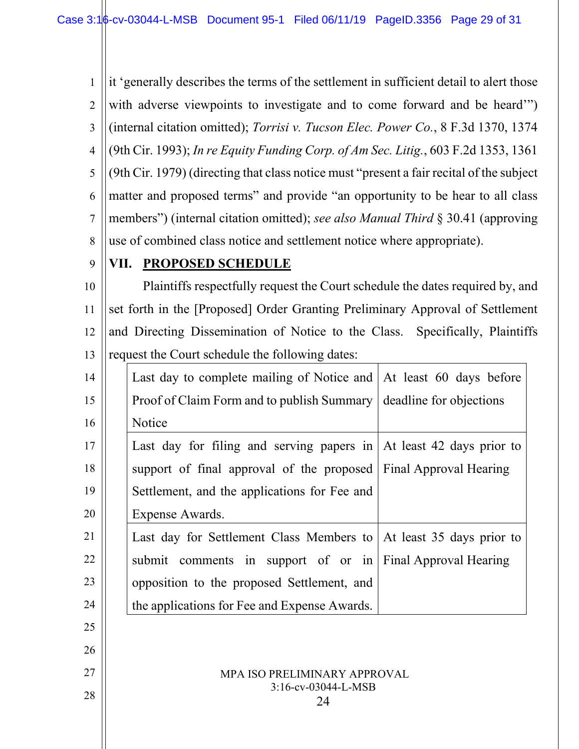1 2 3 4 5 6 7 8 it 'generally describes the terms of the settlement in sufficient detail to alert those with adverse viewpoints to investigate and to come forward and be heard'") (internal citation omitted); *Torrisi v. Tucson Elec. Power Co.*, 8 F.3d 1370, 1374 (9th Cir. 1993); *In re Equity Funding Corp. of Am Sec. Litig.*, 603 F.2d 1353, 1361 (9th Cir. 1979) (directing that class notice must "present a fair recital of the subject matter and proposed terms" and provide "an opportunity to be hear to all class members") (internal citation omitted); *see also Manual Third* § 30.41 (approving use of combined class notice and settlement notice where appropriate).

### <span id="page-28-0"></span>**VII. PROPOSED SCHEDULE**

10 11 12 13 || request the Court schedule the following dates: Plaintiffs respectfully request the Court schedule the dates required by, and set forth in the [Proposed] Order Granting Preliminary Approval of Settlement and Directing Dissemination of Notice to the Class. Specifically, Plaintiffs

| 14 | Last day to complete mailing of Notice and At least 60 days before          |  |
|----|-----------------------------------------------------------------------------|--|
| 15 | Proof of Claim Form and to publish Summary   deadline for objections        |  |
| 16 | Notice                                                                      |  |
| 17 | Last day for filing and serving papers in $\vert$ At least 42 days prior to |  |
| 18 | support of final approval of the proposed Final Approval Hearing            |  |
| 19 | Settlement, and the applications for Fee and                                |  |
| 20 | Expense Awards.                                                             |  |
| 21 | Last day for Settlement Class Members to   At least 35 days prior to        |  |
| 22 | submit comments in support of or in Final Approval Hearing                  |  |
| 23 | opposition to the proposed Settlement, and                                  |  |
| 24 | the applications for Fee and Expense Awards.                                |  |
| 25 |                                                                             |  |

25 26

27

28

9

MPA ISO PRELIMINARY APPROVAL 3:16-cv-03044-L-MSB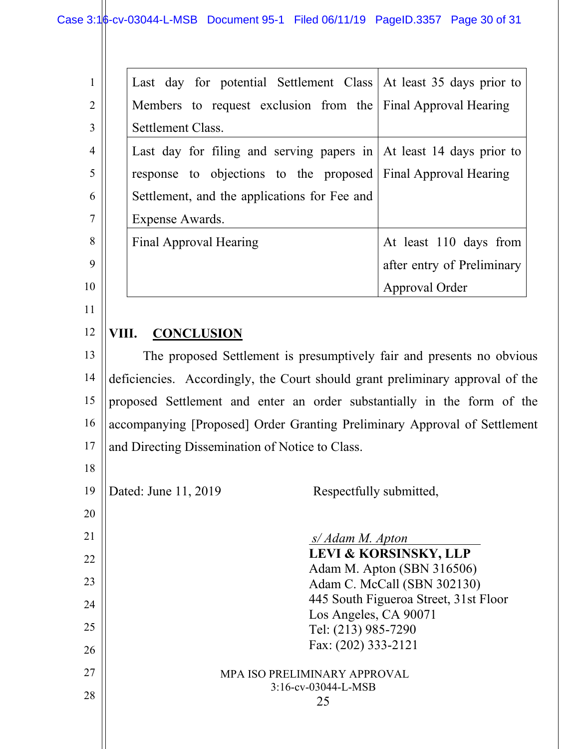|                | Last day for potential Settlement Class At least 35 days prior to           |                            |
|----------------|-----------------------------------------------------------------------------|----------------------------|
| $\overline{2}$ | Members to request exclusion from the Final Approval Hearing                |                            |
| 3              | Settlement Class.                                                           |                            |
| $\overline{4}$ | Last day for filing and serving papers in $\vert$ At least 14 days prior to |                            |
| 5              | response to objections to the proposed Final Approval Hearing               |                            |
| 6              | Settlement, and the applications for Fee and                                |                            |
| 7              | Expense Awards.                                                             |                            |
| 8              | Final Approval Hearing                                                      | At least 110 days from     |
| 9              |                                                                             | after entry of Preliminary |
| 10             |                                                                             | Approval Order             |
| 11             |                                                                             |                            |

#### <span id="page-29-0"></span>12 **VIII. CONCLUSION**

13 14 15 16 17 The proposed Settlement is presumptively fair and presents no obvious deficiencies. Accordingly, the Court should grant preliminary approval of the proposed Settlement and enter an order substantially in the form of the accompanying [Proposed] Order Granting Preliminary Approval of Settlement and Directing Dissemination of Notice to Class.

19

18

Dated: June 11, 2019 Respectfully submitted,

MPA ISO PRELIMINARY APPROVAL 3:16-cv-03044-L-MSB 25 20 21 22 23 24 25 26 27 28 *s/ Adam M. Apton* . **LEVI & KORSINSKY, LLP**  Adam M. Apton (SBN 316506) Adam C. McCall (SBN 302130) 445 South Figueroa Street, 31st Floor Los Angeles, CA 90071 Tel: (213) 985-7290 Fax: (202) 333-2121